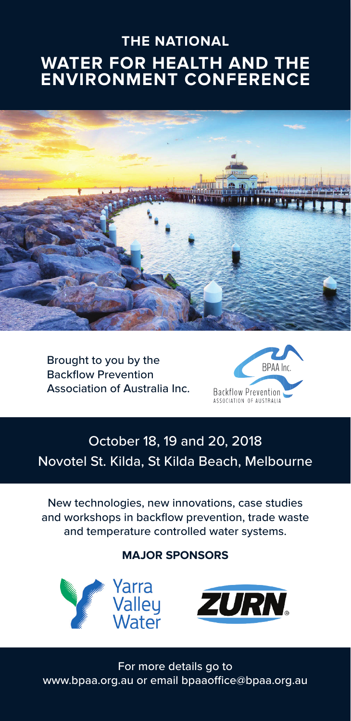## **THE NATIONAL WATER FOR HEALTH AND THE ENVIRONMENT CONFERENCE**



Brought to you by the Backflow Prevention Association of Australia Inc.



## October 18, 19 and 20, 2018 Novotel St. Kilda, St Kilda Beach, Melbourne

New technologies, new innovations, case studies and workshops in backflow prevention, trade waste and temperature controlled water systems.

## **MAJOR SPONSORS**



For more details go to www.bpaa.org.au or email bpaaoffice@bpaa.org.au